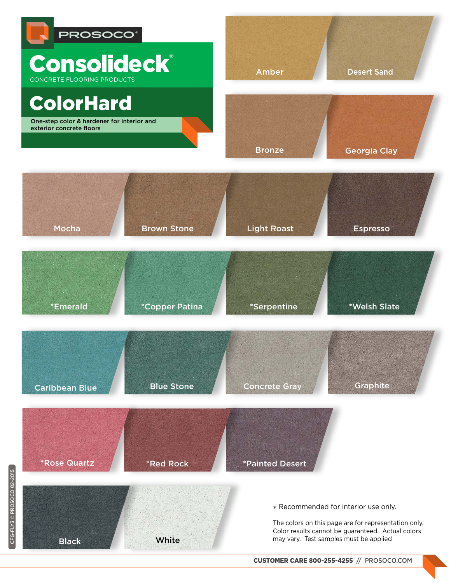

CFG-FLY3 © PROSOCO 02-2015 CFG-FLY3 © PROSOCO 02-2015

[CUSTOMER CARE 800-255-4255](www.prosoco.com) // PROSOCO.COM